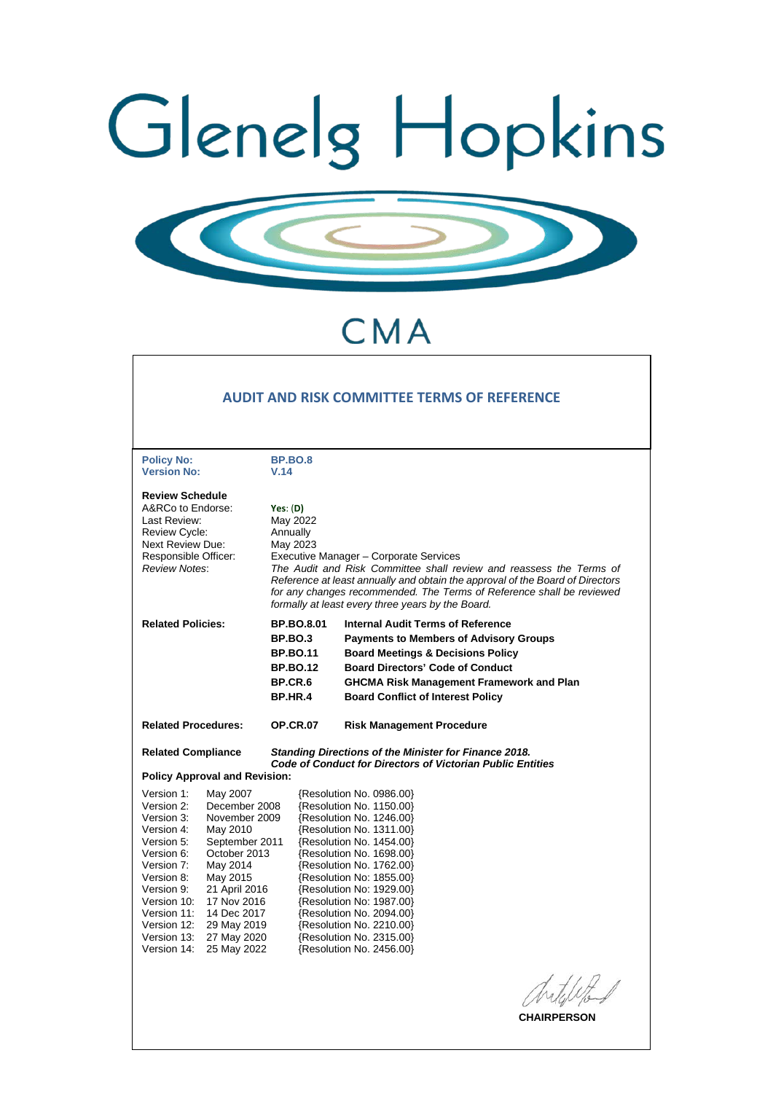



# CMA

|                                                                                                                                                                                                       |                                                                                                                                                                                                                                                      |                                                                                                                                                                                                                                                                                                                                                                                |                 | AUDIT AND RISK COMMITTEE TERMS OF REFERENCE                                                                                                                                                                                                                                                                                                                                                          |  |
|-------------------------------------------------------------------------------------------------------------------------------------------------------------------------------------------------------|------------------------------------------------------------------------------------------------------------------------------------------------------------------------------------------------------------------------------------------------------|--------------------------------------------------------------------------------------------------------------------------------------------------------------------------------------------------------------------------------------------------------------------------------------------------------------------------------------------------------------------------------|-----------------|------------------------------------------------------------------------------------------------------------------------------------------------------------------------------------------------------------------------------------------------------------------------------------------------------------------------------------------------------------------------------------------------------|--|
| <b>Policy No:</b><br><b>Version No:</b>                                                                                                                                                               |                                                                                                                                                                                                                                                      | <b>BP.BO.8</b><br>V.14                                                                                                                                                                                                                                                                                                                                                         |                 |                                                                                                                                                                                                                                                                                                                                                                                                      |  |
| <b>Review Schedule</b><br>A&RCo to Endorse:<br>Last Review:<br><b>Review Cycle:</b><br>Next Review Due:<br>Responsible Officer:<br><b>Review Notes:</b>                                               |                                                                                                                                                                                                                                                      | Yes: $(D)$<br>May 2022<br>Annually<br>May 2023<br>Executive Manager - Corporate Services<br>The Audit and Risk Committee shall review and reassess the Terms of<br>Reference at least annually and obtain the approval of the Board of Directors<br>for any changes recommended. The Terms of Reference shall be reviewed<br>formally at least every three years by the Board. |                 |                                                                                                                                                                                                                                                                                                                                                                                                      |  |
| <b>Related Policies:</b>                                                                                                                                                                              |                                                                                                                                                                                                                                                      | <b>BP.BO.8.01</b><br><b>BP.BO.3</b><br><b>BP.BO.11</b><br><b>BP.BO.12</b><br><b>BP.CR.6</b><br><b>BP.HR.4</b>                                                                                                                                                                                                                                                                  |                 | <b>Internal Audit Terms of Reference</b><br><b>Payments to Members of Advisory Groups</b><br><b>Board Meetings &amp; Decisions Policy</b><br><b>Board Directors' Code of Conduct</b><br><b>GHCMA Risk Management Framework and Plan</b><br><b>Board Conflict of Interest Policy</b>                                                                                                                  |  |
| <b>Related Procedures:</b>                                                                                                                                                                            |                                                                                                                                                                                                                                                      |                                                                                                                                                                                                                                                                                                                                                                                | <b>OP.CR.07</b> | <b>Risk Management Procedure</b>                                                                                                                                                                                                                                                                                                                                                                     |  |
| <b>Related Compliance</b>                                                                                                                                                                             |                                                                                                                                                                                                                                                      |                                                                                                                                                                                                                                                                                                                                                                                |                 | <b>Standing Directions of the Minister for Finance 2018.</b><br><b>Code of Conduct for Directors of Victorian Public Entities</b>                                                                                                                                                                                                                                                                    |  |
| Version 1:<br>Version 2:<br>Version 3:<br>Version 4:<br>Version 5:<br>Version 6:<br>Version 7:<br>Version 8:<br>Version 9:<br>Version 10:<br>Version 11:<br>Version 12:<br>Version 13:<br>Version 14: | <b>Policy Approval and Revision:</b><br>May 2007<br>December 2008<br>November 2009<br>May 2010<br>September 2011<br>October 2013<br>May 2014<br>May 2015<br>21 April 2016<br>17 Nov 2016<br>14 Dec 2017<br>29 May 2019<br>27 May 2020<br>25 May 2022 |                                                                                                                                                                                                                                                                                                                                                                                |                 | {Resolution No. 0986.00}<br>{Resolution No. 1150.00}<br>{Resolution No. 1246.00}<br>{Resolution No. 1311.00}<br>{Resolution No. 1454.00}<br>{Resolution No. 1698.00}<br>{Resolution No. 1762.00}<br>{Resolution No: 1855.00}<br>{Resolution No: 1929.00}<br>{Resolution No: 1987.00}<br>{Resolution No. 2094.00}<br>{Resolution No. 2210.00}<br>{Resolution No. 2315.00}<br>{Resolution No. 2456.00} |  |
|                                                                                                                                                                                                       |                                                                                                                                                                                                                                                      |                                                                                                                                                                                                                                                                                                                                                                                |                 | <b>CHAIRPERSON</b>                                                                                                                                                                                                                                                                                                                                                                                   |  |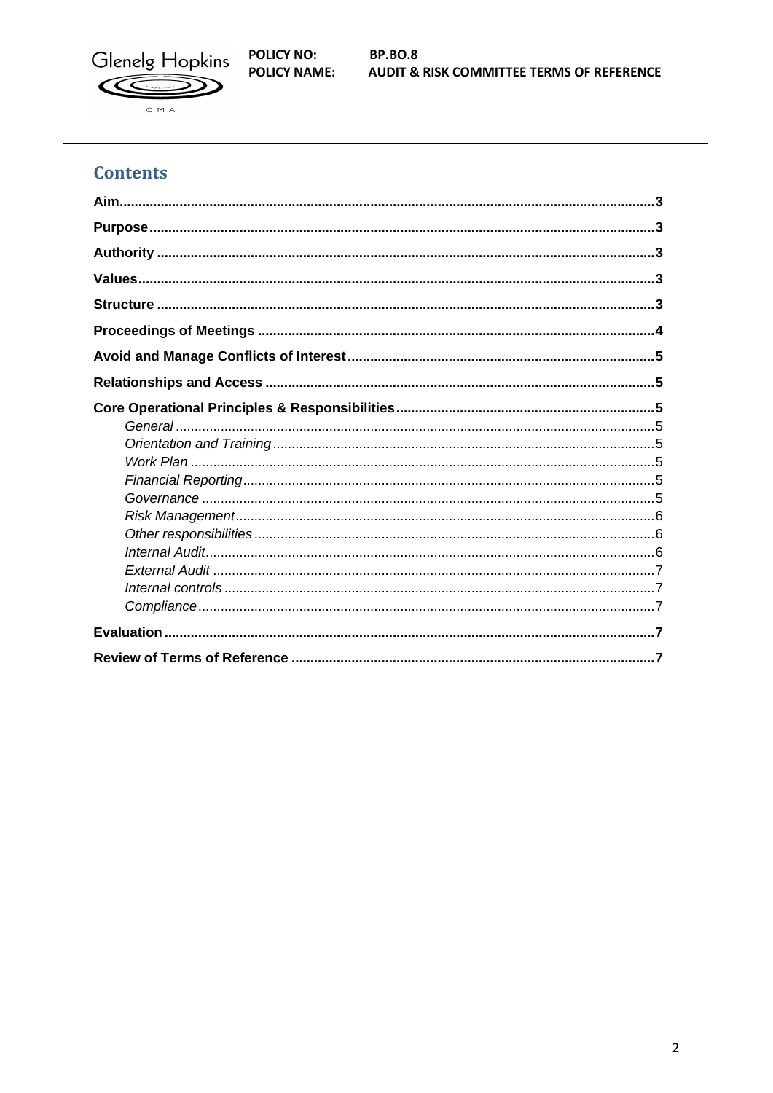

**POLICY NO: POLICY NAME:** 

**BP.BO.8 AUDIT & RISK COMMITTEE TERMS OF REFERENCE** 

# **Contents**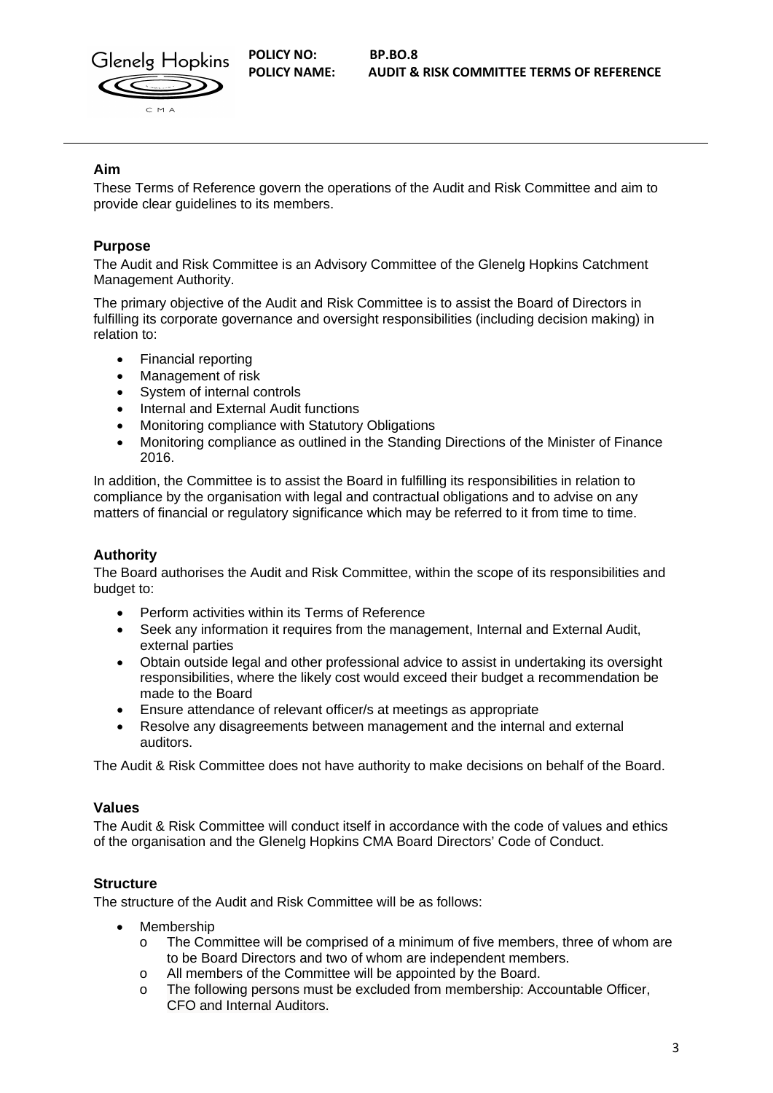

# <span id="page-2-0"></span>**Aim**

These Terms of Reference govern the operations of the Audit and Risk Committee and aim to provide clear guidelines to its members.

# <span id="page-2-1"></span>**Purpose**

The Audit and Risk Committee is an Advisory Committee of the Glenelg Hopkins Catchment Management Authority.

The primary objective of the Audit and Risk Committee is to assist the Board of Directors in fulfilling its corporate governance and oversight responsibilities (including decision making) in relation to:

- Financial reporting
- Management of risk
- System of internal controls
- Internal and External Audit functions
- Monitoring compliance with Statutory Obligations
- Monitoring compliance as outlined in the Standing Directions of the Minister of Finance 2016.

In addition, the Committee is to assist the Board in fulfilling its responsibilities in relation to compliance by the organisation with legal and contractual obligations and to advise on any matters of financial or regulatory significance which may be referred to it from time to time.

# <span id="page-2-2"></span>**Authority**

The Board authorises the Audit and Risk Committee, within the scope of its responsibilities and budget to:

- Perform activities within its Terms of Reference
- Seek any information it requires from the management, Internal and External Audit, external parties
- Obtain outside legal and other professional advice to assist in undertaking its oversight responsibilities, where the likely cost would exceed their budget a recommendation be made to the Board
- Ensure attendance of relevant officer/s at meetings as appropriate
- Resolve any disagreements between management and the internal and external auditors.

The Audit & Risk Committee does not have authority to make decisions on behalf of the Board.

#### <span id="page-2-3"></span>**Values**

The Audit & Risk Committee will conduct itself in accordance with the code of values and ethics of the organisation and the Glenelg Hopkins CMA Board Directors' Code of Conduct.

# <span id="page-2-4"></span>**Structure**

The structure of the Audit and Risk Committee will be as follows:

- Membership
	- $\circ$  The Committee will be comprised of a minimum of five members, three of whom are to be Board Directors and two of whom are independent members.
	- o All members of the Committee will be appointed by the Board.
	- o The following persons must be excluded from membership: Accountable Officer, CFO and Internal Auditors.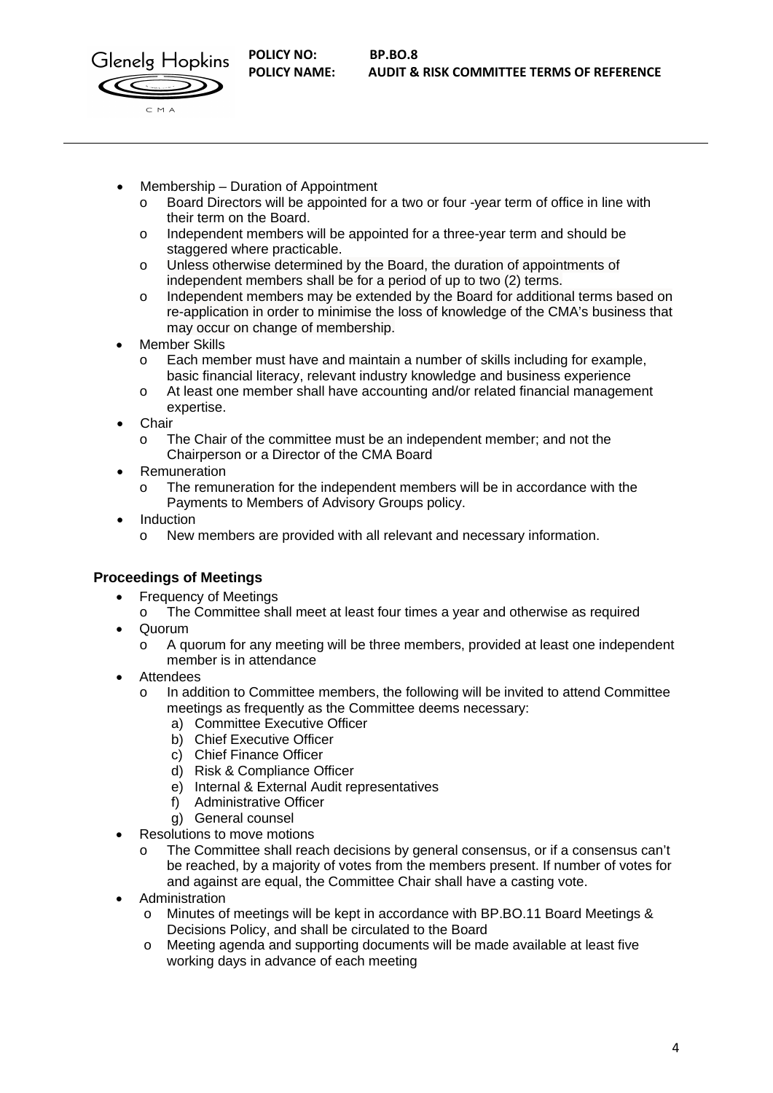



- Membership Duration of Appointment
	- o Board Directors will be appointed for a two or four -year term of office in line with their term on the Board.
	- o Independent members will be appointed for a three-year term and should be staggered where practicable.
	- o Unless otherwise determined by the Board, the duration of appointments of independent members shall be for a period of up to two (2) terms.
	- o Independent members may be extended by the Board for additional terms based on re-application in order to minimise the loss of knowledge of the CMA's business that may occur on change of membership.
- Member Skills
	- Each member must have and maintain a number of skills including for example, basic financial literacy, relevant industry knowledge and business experience
	- o At least one member shall have accounting and/or related financial management expertise.
- **Chair** 
	- o The Chair of the committee must be an independent member; and not the Chairperson or a Director of the CMA Board
- Remuneration
	- o The remuneration for the independent members will be in accordance with the Payments to Members of Advisory Groups policy.
- Induction
	- o New members are provided with all relevant and necessary information.

# <span id="page-3-0"></span>**Proceedings of Meetings**

- Frequency of Meetings
- o The Committee shall meet at least four times a year and otherwise as required • Quorum
	- o A quorum for any meeting will be three members, provided at least one independent member is in attendance
- **Attendees** 
	- o In addition to Committee members, the following will be invited to attend Committee meetings as frequently as the Committee deems necessary:
		- a) Committee Executive Officer
		- b) Chief Executive Officer
		- c) Chief Finance Officer
		- d) Risk & Compliance Officer
		- e) Internal & External Audit representatives
		- f) Administrative Officer
		- g) General counsel
- Resolutions to move motions
	- o The Committee shall reach decisions by general consensus, or if a consensus can't be reached, by a majority of votes from the members present. If number of votes for and against are equal, the Committee Chair shall have a casting vote.
- Administration
	- Minutes of meetings will be kept in accordance with BP.BO.11 Board Meetings & Decisions Policy, and shall be circulated to the Board
	- o Meeting agenda and supporting documents will be made available at least five working days in advance of each meeting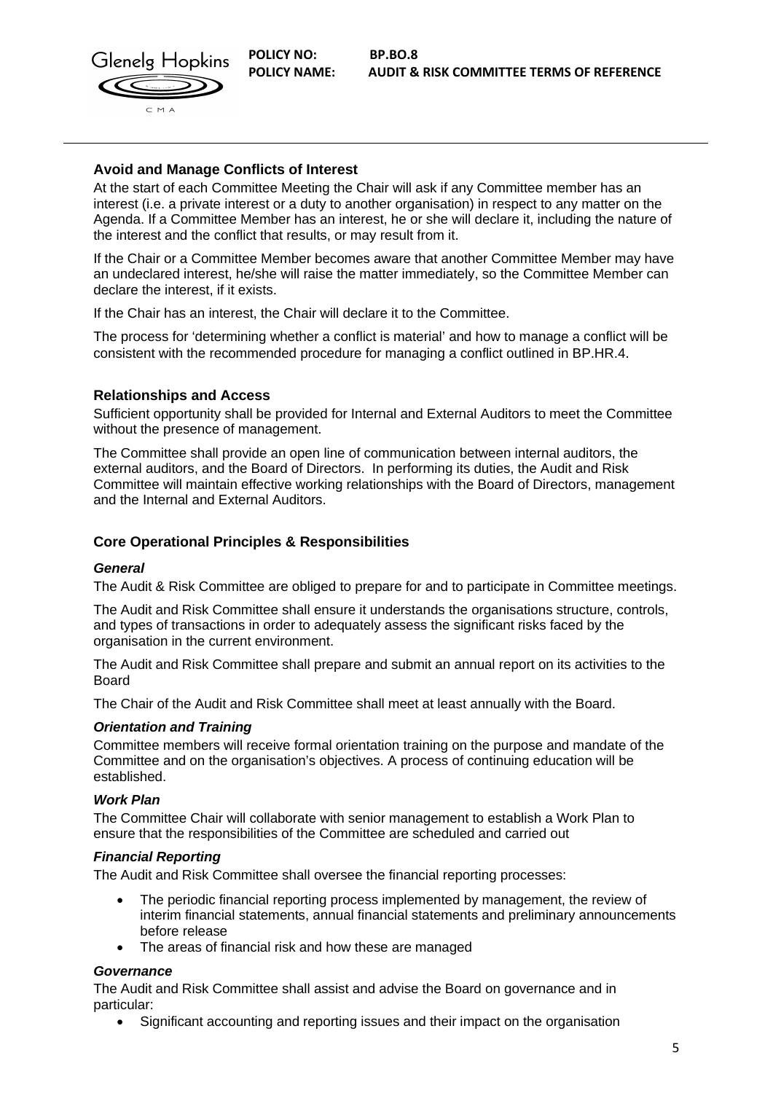

## <span id="page-4-0"></span>**Avoid and Manage Conflicts of Interest**

At the start of each Committee Meeting the Chair will ask if any Committee member has an interest (i.e. a private interest or a duty to another organisation) in respect to any matter on the Agenda. If a Committee Member has an interest, he or she will declare it, including the nature of the interest and the conflict that results, or may result from it.

If the Chair or a Committee Member becomes aware that another Committee Member may have an undeclared interest, he/she will raise the matter immediately, so the Committee Member can declare the interest, if it exists.

If the Chair has an interest, the Chair will declare it to the Committee.

The process for 'determining whether a conflict is material' and how to manage a conflict will be consistent with the recommended procedure for managing a conflict outlined in BP.HR.4.

## <span id="page-4-1"></span>**Relationships and Access**

Sufficient opportunity shall be provided for Internal and External Auditors to meet the Committee without the presence of management.

The Committee shall provide an open line of communication between internal auditors, the external auditors, and the Board of Directors. In performing its duties, the Audit and Risk Committee will maintain effective working relationships with the Board of Directors, management and the Internal and External Auditors.

# <span id="page-4-2"></span>**Core Operational Principles & Responsibilities**

#### <span id="page-4-3"></span>*General*

The Audit & Risk Committee are obliged to prepare for and to participate in Committee meetings.

The Audit and Risk Committee shall ensure it understands the organisations structure, controls, and types of transactions in order to adequately assess the significant risks faced by the organisation in the current environment.

The Audit and Risk Committee shall prepare and submit an annual report on its activities to the Board

The Chair of the Audit and Risk Committee shall meet at least annually with the Board.

#### <span id="page-4-4"></span>*Orientation and Training*

Committee members will receive formal orientation training on the purpose and mandate of the Committee and on the organisation's objectives. A process of continuing education will be established.

#### <span id="page-4-5"></span>*Work Plan*

The Committee Chair will collaborate with senior management to establish a Work Plan to ensure that the responsibilities of the Committee are scheduled and carried out

#### <span id="page-4-6"></span>*Financial Reporting*

The Audit and Risk Committee shall oversee the financial reporting processes:

- The periodic financial reporting process implemented by management, the review of interim financial statements, annual financial statements and preliminary announcements before release
- The areas of financial risk and how these are managed

#### <span id="page-4-7"></span>*Governance*

The Audit and Risk Committee shall assist and advise the Board on governance and in particular:

• Significant accounting and reporting issues and their impact on the organisation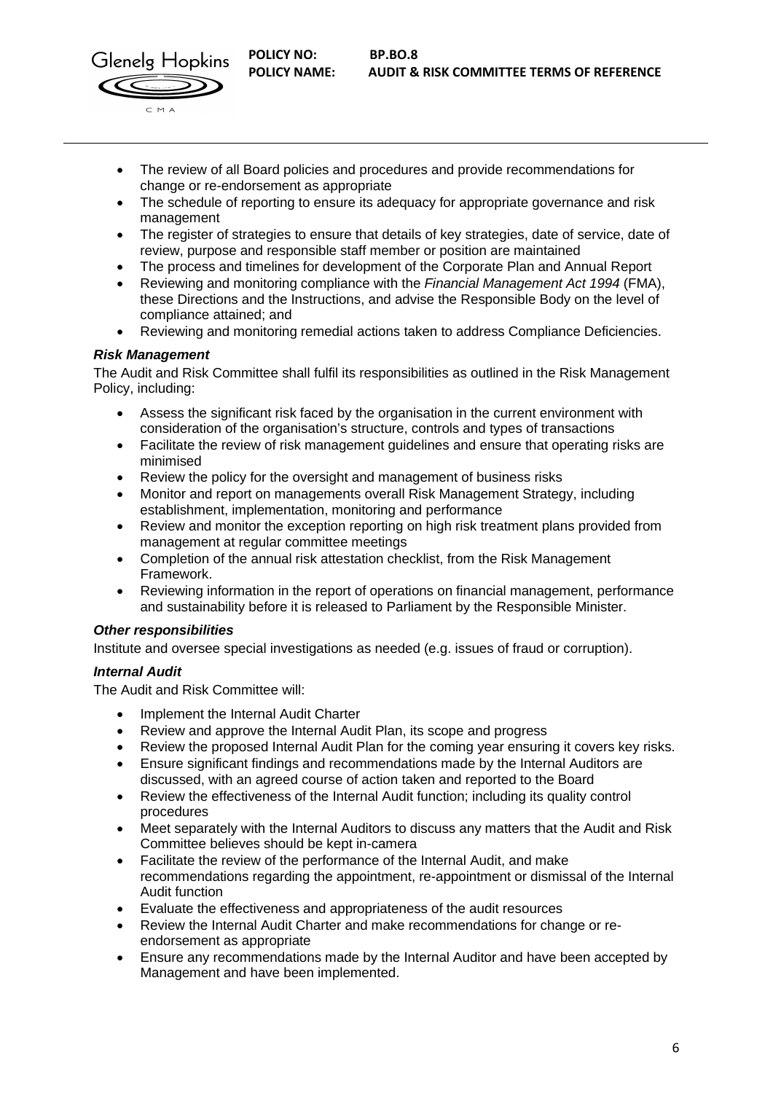

- The review of all Board policies and procedures and provide recommendations for change or re-endorsement as appropriate
- The schedule of reporting to ensure its adequacy for appropriate governance and risk management
- The register of strategies to ensure that details of key strategies, date of service, date of review, purpose and responsible staff member or position are maintained
- The process and timelines for development of the Corporate Plan and Annual Report
- Reviewing and monitoring compliance with the *Financial Management Act 1994* (FMA), these Directions and the Instructions, and advise the Responsible Body on the level of compliance attained; and
- Reviewing and monitoring remedial actions taken to address Compliance Deficiencies.

#### <span id="page-5-0"></span>*Risk Management*

The Audit and Risk Committee shall fulfil its responsibilities as outlined in the Risk Management Policy, including:

- Assess the significant risk faced by the organisation in the current environment with consideration of the organisation's structure, controls and types of transactions
- Facilitate the review of risk management guidelines and ensure that operating risks are minimised
- Review the policy for the oversight and management of business risks
- Monitor and report on managements overall Risk Management Strategy, including establishment, implementation, monitoring and performance
- Review and monitor the exception reporting on high risk treatment plans provided from management at regular committee meetings
- Completion of the annual risk attestation checklist, from the Risk Management Framework.
- Reviewing information in the report of operations on financial management, performance and sustainability before it is released to Parliament by the Responsible Minister.

#### <span id="page-5-1"></span>*Other responsibilities*

Institute and oversee special investigations as needed (e.g. issues of fraud or corruption).

#### <span id="page-5-2"></span>*Internal Audit*

The Audit and Risk Committee will:

- Implement the Internal Audit Charter
- Review and approve the Internal Audit Plan, its scope and progress
- Review the proposed Internal Audit Plan for the coming year ensuring it covers key risks.
- Ensure significant findings and recommendations made by the Internal Auditors are discussed, with an agreed course of action taken and reported to the Board
- Review the effectiveness of the Internal Audit function; including its quality control procedures
- Meet separately with the Internal Auditors to discuss any matters that the Audit and Risk Committee believes should be kept in-camera
- Facilitate the review of the performance of the Internal Audit, and make recommendations regarding the appointment, re-appointment or dismissal of the Internal Audit function
- Evaluate the effectiveness and appropriateness of the audit resources
- Review the Internal Audit Charter and make recommendations for change or reendorsement as appropriate
- Ensure any recommendations made by the Internal Auditor and have been accepted by Management and have been implemented.